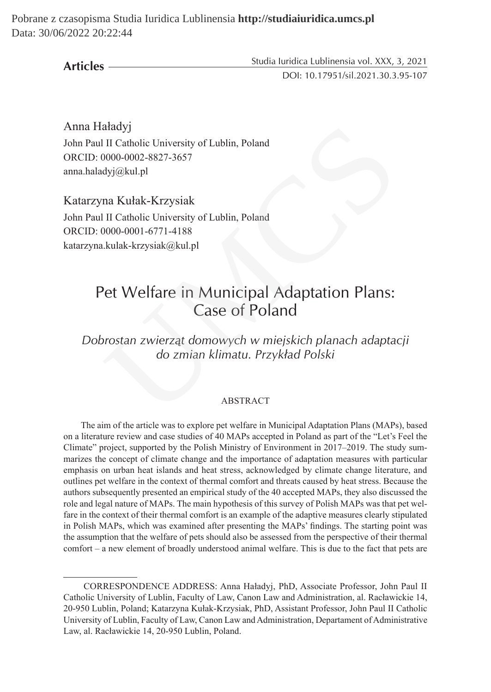Pobrane z czasopisma Studia Iuridica Lublinensia **http://studiaiuridica.umcs.pl** Data: 30/06/2022 20:22:44

**Articles**

Studia Iuridica Lublinensia vol. XXX, 3, 2021

DOI: 10.17951/sil.2021.30.3.95-107

Anna Haładyj John Paul II Catholic University of Lublin, Poland ORCID: 0000-0002-8827-3657 anna.haladyj@kul.pl

Katarzyna Kułak-Krzysiak John Paul II Catholic University of Lublin, Poland ORCID: 0000-0001-6771-4188 katarzyna.kulak-krzysiak@kul.pl

# Pet Welfare in Municipal Adaptation Plans: Case of Poland aładyj<br>
II Catholic University of Lublin, Poland<br>
0000-0002-8827-3657<br>
dyj@kul.pl<br>
na Kułak-Krzysiak<br>
III Catholic University of Lublin, Poland<br>
0000-0001-6771-4188<br>
kulak-krzysiak@kul.pl<br> **Pet Welfare in Municipal Adaptat**

*Dobrostan zwierząt domowych w miejskich planach adaptacji do zmian klimatu. Przykład Polski*

### ABSTRACT

The aim of the article was to explore pet welfare in Municipal Adaptation Plans (MAPs), based on a literature review and case studies of 40 MAPs accepted in Poland as part of the "Let's Feel the Climate" project, supported by the Polish Ministry of Environment in 2017–2019. The study summarizes the concept of climate change and the importance of adaptation measures with particular emphasis on urban heat islands and heat stress, acknowledged by climate change literature, and outlines pet welfare in the context of thermal comfort and threats caused by heat stress. Because the authors subsequently presented an empirical study of the 40 accepted MAPs, they also discussed the role and legal nature of MAPs. The main hypothesis of this survey of Polish MAPs was that pet welfare in the context of their thermal comfort is an example of the adaptive measures clearly stipulated in Polish MAPs, which was examined after presenting the MAPs' findings. The starting point was the assumption that the welfare of pets should also be assessed from the perspective of their thermal comfort – a new element of broadly understood animal welfare. This is due to the fact that pets are

CORRESPONDENCE ADDRESS: Anna Haładyj, PhD, Associate Professor, John Paul II Catholic University of Lublin, Faculty of Law, Canon Law and Administration, al. Racławickie 14, 20-950 Lublin, Poland; Katarzyna Kułak-Krzysiak, PhD, Assistant Professor, John Paul II Catholic University of Lublin, Faculty of Law, Canon Law and Administration, Departament of Administrative Law, al. Racławickie 14, 20-950 Lublin, Poland.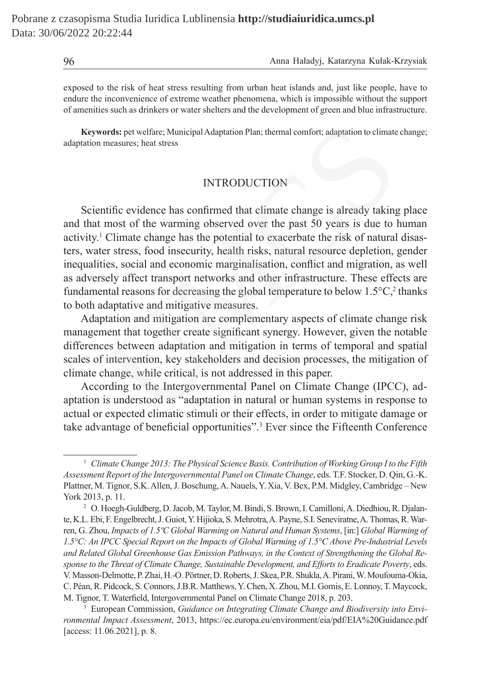exposed to the risk of heat stress resulting from urban heat islands and, just like people, have to endure the inconvenience of extreme weather phenomena, which is impossible without the support of amenities such as drinkers or water shelters and the development of green and blue infrastructure.

**Keywords:** pet welfare; Municipal Adaptation Plan; thermal comfort; adaptation to climate change; adaptation measures; heat stress

# INTRODUCTION

Scientific evidence has confirmed that climate change is already taking place and that most of the warming observed over the past 50 years is due to human activity.<sup>1</sup> Climate change has the potential to exacerbate the risk of natural disasters, water stress, food insecurity, health risks, natural resource depletion, gender inequalities, social and economic marginalisation, conflict and migration, as well as adversely affect transport networks and other infrastructure. These effects are fundamental reasons for decreasing the global temperature to below  $1.5^{\circ}C$ , thanks to both adaptative and mitigative measures. ords: pet welfare; Municipal Adaptation Plan; thermal comfort; adaptation to climate<br>measures; heat stress<br>INTRODUCTION<br>tific evidence has confirmed that climate change is already taking<br>most of the warming observed over

Adaptation and mitigation are complementary aspects of climate change risk management that together create significant synergy. However, given the notable differences between adaptation and mitigation in terms of temporal and spatial scales of intervention, key stakeholders and decision processes, the mitigation of climate change, while critical, is not addressed in this paper.

According to the Intergovernmental Panel on Climate Change (IPCC), adaptation is understood as "adaptation in natural or human systems in response to actual or expected climatic stimuli or their effects, in order to mitigate damage or take advantage of beneficial opportunities".<sup>3</sup> Ever since the Fifteenth Conference

<sup>1</sup> *Climate Change 2013: The Physical Science Basis. Contribution of Working Group I to the Fifth Assessment Report of the Intergovernmental Panel on Climate Change*, eds. T.F. Stocker, D. Qin, G.-K. Plattner, M.Tignor, S.K. Allen, J. Boschung, A. Nauels, Y. Xia, V. Bex, P.M. Midgley, Cambridge – New York 2013, p. 11.

<sup>2</sup> O. Hoegh-Guldberg, D.Jacob, M.Taylor, M.Bindi, S.Brown, I.Camilloni, A. Diedhiou, R. Djalante, K.L. Ebi, F. Engelbrecht, J. Guiot, Y. Hijioka, S. Mehrotra, A. Payne, S.I. Seneviratne, A.Thomas, R.Warren, G. Zhou, *Impacts of 1.5ºC Global Warming on Natural and Human Systems*, [in:] *Global Warming of 1.5°C: An IPCC Special Report on the Impacts of Global Warming of 1.5°C Above Pre-Industrial Levels and Related Global Greenhouse Gas Emission Pathways, in the Context of Strengthening the Global Response to the Threat of Climate Change, Sustainable Development, and Efforts to Eradicate Poverty*, eds. V. Masson-Delmotte, P.Zhai, H.-O. Pörtner, D.Roberts, J. Skea, P.R. Shukla, A. Pirani, W. Moufouma-Okia, C. Péan, R. Pidcock, S.Connors, J.B.R. Matthews, Y. Chen, X. Zhou, M.I. Gomis, E. Lonnoy, T. Maycock, M. Tignor, T. Waterfield, Intergovernmental Panel on Climate Change 2018, p. 203.

<sup>3</sup> European Commission, *Guidance on Integrating Climate Change and Biodiversity into Environmental Impact Assessment*, 2013, https://ec.europa.eu/environment/eia/pdf/EIA%20Guidance.pdf [access: 11.06.2021], p. 8.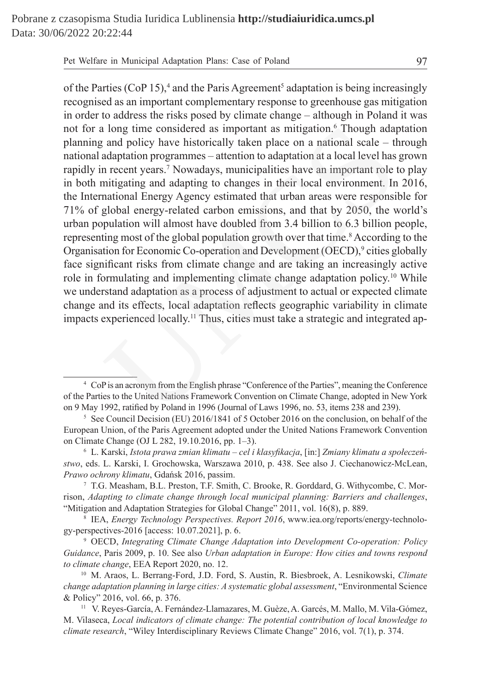Pet Welfare in Municipal Adaptation Plans: Case of Poland 97

of the Parties (CoP 15),<sup>4</sup> and the Paris Agreement<sup>5</sup> adaptation is being increasingly recognised as an important complementary response to greenhouse gas mitigation in order to address the risks posed by climate change – although in Poland it was not for a long time considered as important as mitigation.<sup>6</sup> Though adaptation planning and policy have historically taken place on a national scale – through national adaptation programmes – attention to adaptation at a local level has grown rapidly in recent years.<sup>7</sup> Nowadays, municipalities have an important role to play in both mitigating and adapting to changes in their local environment. In 2016, the International Energy Agency estimated that urban areas were responsible for 71% of global energy-related carbon emissions, and that by 2050, the world's urban population will almost have doubled from 3.4 billion to 6.3 billion people, representing most of the global population growth over that time.<sup>8</sup> According to the Organisation for Economic Co-operation and Development (OECD),<sup>9</sup> cities globally face significant risks from climate change and are taking an increasingly active role in formulating and implementing climate change adaptation policy.<sup>10</sup> While we understand adaptation as a process of adjustment to actual or expected climate change and its effects, local adaptation reflects geographic variability in climate impacts experienced locally.<sup>11</sup> Thus, cities must take a strategic and integrated ap-1 long time considered as important as mitigation.<sup>6</sup> Though adaptation and policy have historically taken place on a national scale  $-$  the adaptation programmes – attention to adaptation at a local level has n recent ye

<sup>4</sup> CoP is an acronym from the English phrase "Conference of the Parties", meaning the Conference of the Parties to the United Nations Framework Convention on Climate Change, adopted in New York on 9 May 1992, ratified by Poland in 1996 (Journal of Laws 1996, no. 53, items 238 and 239).

<sup>5</sup> See Council Decision (EU) 2016/1841 of 5 October 2016 on the conclusion, on behalf of the European Union, of the Paris Agreement adopted under the United Nations Framework Convention on Climate Change (OJ L 282, 19.10.2016, pp. 1–3).

<sup>6</sup> L. Karski, *Istota prawa zmian klimatu – cel i klasyfikacja*, [in:] *Zmiany klimatu a społeczeństwo*, eds. L. Karski, I. Grochowska, Warszawa 2010, p. 438. See also J. Ciechanowicz-McLean, *Prawo ochrony klimatu*, Gdańsk 2016, passim.

<sup>7</sup> T.G. Measham, B.L. Preston, T.F. Smith, C. Brooke, R. Gorddard, G. Withycombe, C. Morrison, *Adapting to climate change through local municipal planning: Barriers and challenges*, "Mitigation and Adaptation Strategies for Global Change" 2011, vol. 16(8), p. 889.

<sup>8</sup> IEA, *Energy Technology Perspectives. Report 2016*, www.iea.org/reports/energy-technology-perspectives-2016 [access: 10.07.2021], p. 6.

<sup>9</sup> OECD, *Integrating Climate Change Adaptation into Development Co-operation: Policy Guidance*, Paris 2009, p. 10. See also *Urban adaptation in Europe: How cities and towns respond to climate change*, EEA Report 2020, no. 12.

<sup>10</sup> M. Araos, L. Berrang-Ford, J.D. Ford, S. Austin, R. Biesbroek, A. Lesnikowski, *Climate change adaptation planning in large cities: A systematic global assessment*, "Environmental Science & Policy" 2016, vol. 66, p. 376.

<sup>11</sup> V. Reyes-García, A. Fernández-Llamazares, M. Guèze, A. Garcés, M. Mallo, M. Vila-Gómez, M. Vilaseca, *Local indicators of climate change: The potential contribution of local knowledge to climate research*, "Wiley Interdisciplinary Reviews Climate Change" 2016, vol. 7(1), p. 374.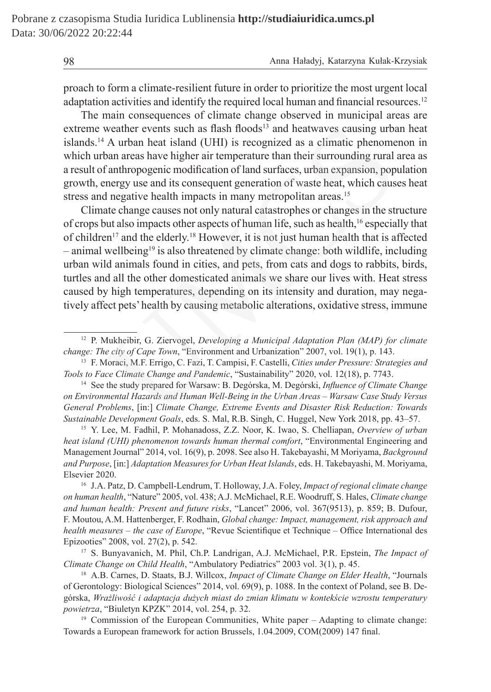proach to form a climate-resilient future in order to prioritize the most urgent local adaptation activities and identify the required local human and financial resources.<sup>12</sup>

The main consequences of climate change observed in municipal areas are extreme weather events such as flash floods<sup>13</sup> and heatwaves causing urban heat islands.<sup>14</sup> A urban heat island (UHI) is recognized as a climatic phenomenon in which urban areas have higher air temperature than their surrounding rural area as a result of anthropogenic modification of land surfaces, urban expansion, population growth, energy use and its consequent generation of waste heat, which causes heat stress and negative health impacts in many metropolitan areas.<sup>15</sup>

Climate change causes not only natural catastrophes or changes in the structure of crops but also impacts other aspects of human life, such as health,<sup>16</sup> especially that of children<sup>17</sup> and the elderly.<sup>18</sup> However, it is not just human health that is affected  $-$  animal wellbeing<sup>19</sup> is also threatened by climate change: both wildlife, including urban wild animals found in cities, and pets, from cats and dogs to rabbits, birds, turtles and all the other domesticated animals we share our lives with. Heat stress caused by high temperatures, depending on its intensity and duration, may negatively affect pets' health by causing metabolic alterations, oxidative stress, immune weather events such as flash floods<sup>13</sup> and heatwaves causing urbe<br><sup>4</sup> A urban heat island (UHI) is recognized as a climatic phenome<br>ban areas have higher air temperature than their surrounding rural<br>f anthropognic modifi

<sup>13</sup> F. Moraci, M.F. Errigo, C. Fazi, T. Campisi, F. Castelli, *Cities under Pressure: Strategies and Tools to Face Climate Change and Pandemic*, "Sustainability" 2020, vol. 12(18), p. 7743.

<sup>14</sup> See the study prepared for Warsaw: B. Degórska, M. Degórski, *Influence of Climate Change on Environmental Hazards and Human Well-Being in the Urban Areas – Warsaw Case Study Versus General Problems*, [in:] *Climate Change, Extreme Events and Disaster Risk Reduction: Towards Sustainable Development Goals*, eds. S. Mal, R.B. Singh, C. Huggel, New York 2018, pp. 43–57.

<sup>15</sup> Y. Lee, M. Fadhil, P. Mohanadoss, Z.Z. Noor, K. Iwao, S. Chelliapan, *Overview of urban heat island (UHI) phenomenon towards human thermal comfort*, "Environmental Engineering and Management Journal" 2014, vol. 16(9), p. 2098. See also H. Takebayashi, M Moriyama, *Background and Purpose*, [in:] *Adaptation Measures for Urban Heat Islands*, eds. H. Takebayashi, M. Moriyama, Elsevier 2020.

<sup>16</sup> J.A. Patz, D. Campbell-Lendrum, T. Holloway, J.A. Foley, *Impact of regional climate change on human health*, "Nature" 2005, vol. 438; A.J. McMichael, R.E. Woodruff, S. Hales, *Climate change and human health: Present and future risks*, "Lancet" 2006, vol. 367(9513), p. 859; B. Dufour, F. Moutou, A.M. Hattenberger, F. Rodhain, *Global change: Impact, management, risk approach and health measures – the case of Europe*, "Revue Scientifique et Technique – Office International des Epizooties" 2008, vol. 27(2), p. 542.

<sup>17</sup> S. Bunyavanich, M. Phil, Ch.P. Landrigan, A.J. McMichael, P.R. Epstein, *The Impact of Climate Change on Child Health*, "Ambulatory Pediatrics" 2003 vol. 3(1), p. 45.

<sup>18</sup> A.B. Carnes, D. Staats, B.J. Willcox, *Impact of Climate Change on Elder Health*, "Journals of Gerontology: Biological Sciences" 2014, vol. 69(9), p. 1088. In the context of Poland, see B. Degórska, *Wrażliwość i adaptacja dużych miast do zmian klimatu w kontekście wzrostu temperatury powietrza*, "Biuletyn KPZK" 2014, vol. 254, p. 32.

<sup>19</sup> Commission of the European Communities, White paper – Adapting to climate change: Towards a European framework for action Brussels, 1.04.2009, COM(2009) 147 final.

<sup>12</sup> P. Mukheibir, G. Ziervogel, *Developing a Municipal Adaptation Plan (MAP) for climate change: The city of Cape Town*, "Environment and Urbanization" 2007, vol. 19(1), p. 143.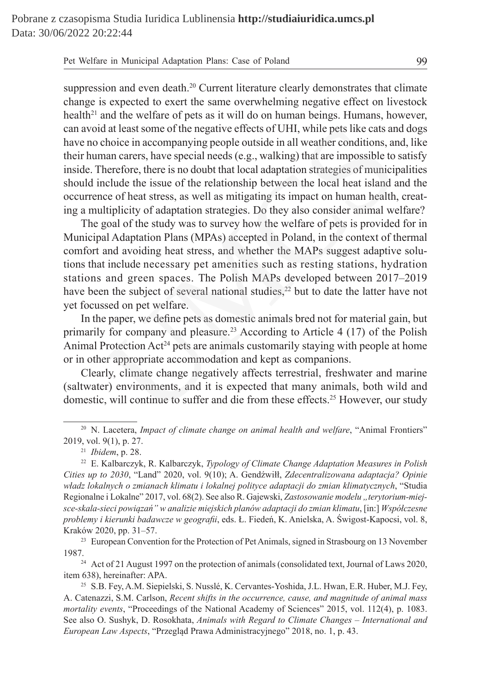| Pet Welfare in Municipal Adaptation Plans: Case of Poland | 99 |
|-----------------------------------------------------------|----|
|-----------------------------------------------------------|----|

suppression and even death.<sup>20</sup> Current literature clearly demonstrates that climate change is expected to exert the same overwhelming negative effect on livestock health<sup>21</sup> and the welfare of pets as it will do on human beings. Humans, however, can avoid at least some of the negative effects of UHI, while pets like cats and dogs have no choice in accompanying people outside in all weather conditions, and, like their human carers, have special needs (e.g., walking) that are impossible to satisfy inside. Therefore, there is no doubt that local adaptation strategies of municipalities should include the issue of the relationship between the local heat island and the occurrence of heat stress, as well as mitigating its impact on human health, creating a multiplicity of adaptation strategies. Do they also consider animal welfare?

The goal of the study was to survey how the welfare of pets is provided for in Municipal Adaptation Plans (MPAs) accepted in Poland, in the context of thermal comfort and avoiding heat stress, and whether the MAPs suggest adaptive solutions that include necessary pet amenities such as resting stations, hydration stations and green spaces. The Polish MAPs developed between 2017–2019 have been the subject of several national studies, $^{22}$  but to date the latter have not yet focussed on pet welfare. d at least some of the negative effects of UHI, while pets like cats an choice in accompanying people outside in all weather conditions, are an carers, have special needs (e.g., walking) that are impossible to herefore, t

In the paper, we define pets as domestic animals bred not for material gain, but primarily for company and pleasure.<sup>23</sup> According to Article 4 (17) of the Polish Animal Protection  $Act^{24}$  pets are animals customarily staying with people at home or in other appropriate accommodation and kept as companions.

Clearly, climate change negatively affects terrestrial, freshwater and marine (saltwater) environments, and it is expected that many animals, both wild and domestic, will continue to suffer and die from these effects.<sup>25</sup> However, our study

<sup>23</sup> European Convention for the Protection of Pet Animals, signed in Strasbourg on 13 November 1987.

<sup>24</sup> Act of 21 August 1997 on the protection of animals (consolidated text, Journal of Laws 2020, item 638), hereinafter: APA.

<sup>&</sup>lt;sup>20</sup> N. Lacetera, *Impact of climate change on animal health and welfare*, "Animal Frontiers" 2019, vol. 9(1), p. 27.

<sup>21</sup> *Ibidem*, p. 28.

<sup>22</sup> E. Kalbarczyk, R. Kalbarczyk, *Typology of Climate Change Adaptation Measures in Polish Cities up to 2030*, "Land" 2020, vol. 9(10); A. Gendźwiłł, *Zdecentralizowana adaptacja? Opinie władz lokalnych o zmianach klimatu i lokalnej polityce adaptacji do zmian klimatycznych*, "Studia Regionalne i Lokalne" 2017, vol. 68(2). See also R. Gajewski, Zastosowanie modelu "terytorium-miej*sce-skala-sieci powiązań" w analizie miejskich planów adaptacji do zmian klimatu*, [in:] *Współczesne problemy i kierunki badawcze w geografii*, eds. Ł. Fiedeń, K. Anielska, A. Świgost-Kapocsi, vol. 8, Kraków 2020, pp. 31–57.

<sup>25</sup> S.B. Fey, A.M. Siepielski, S. Nusslé, K. Cervantes-Yoshida, J.L. Hwan, E.R. Huber, M.J. Fey, A. Catenazzi, S.M. Carlson, *Recent shifts in the occurrence, cause, and magnitude of animal mass mortality events*, "Proceedings of the National Academy of Sciences" 2015, vol. 112(4), p. 1083. See also O. Sushyk, D. Rosokhata, *Animals with Regard to Climate Changes – International and European Law Aspects*, "Przegląd Prawa Administracyjnego" 2018, no. 1, p. 43.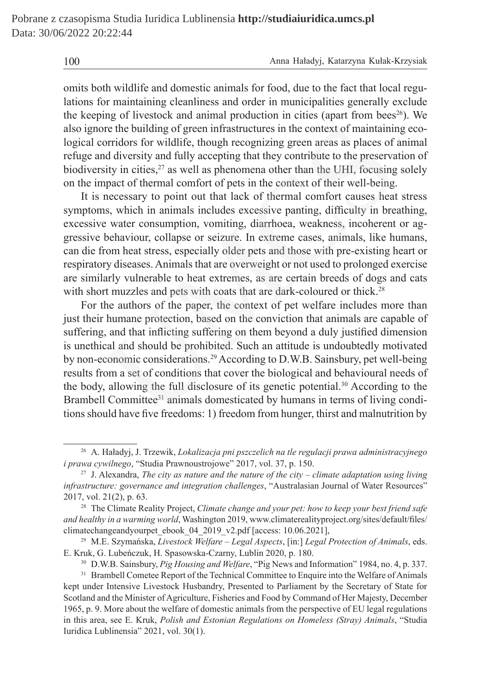omits both wildlife and domestic animals for food, due to the fact that local regulations for maintaining cleanliness and order in municipalities generally exclude the keeping of livestock and animal production in cities (apart from bees<sup>26</sup>). We also ignore the building of green infrastructures in the context of maintaining ecological corridors for wildlife, though recognizing green areas as places of animal refuge and diversity and fully accepting that they contribute to the preservation of biodiversity in cities, $2^7$  as well as phenomena other than the UHI, focusing solely on the impact of thermal comfort of pets in the context of their well-being.

It is necessary to point out that lack of thermal comfort causes heat stress symptoms, which in animals includes excessive panting, difficulty in breathing, excessive water consumption, vomiting, diarrhoea, weakness, incoherent or aggressive behaviour, collapse or seizure. In extreme cases, animals, like humans, can die from heat stress, especially older pets and those with pre-existing heart or respiratory diseases. Animals that are overweight or not used to prolonged exercise are similarly vulnerable to heat extremes, as are certain breeds of dogs and cats with short muzzles and pets with coats that are dark-coloured or thick.<sup>28</sup>

For the authors of the paper, the context of pet welfare includes more than just their humane protection, based on the conviction that animals are capable of suffering, and that inflicting suffering on them beyond a duly justified dimension is unethical and should be prohibited. Such an attitude is undoubtedly motivated by non-economic considerations.29 According to D.W.B. Sainsbury, pet well-being results from a set of conditions that cover the biological and behavioural needs of the body, allowing the full disclosure of its genetic potential.<sup>30</sup> According to the Brambell Committee<sup>31</sup> animals domesticated by humans in terms of living conditions should have five freedoms: 1) freedom from hunger, thirst and malnutrition by or the building of green infrastructures in the context of maintainir<br>orridors for wildlife, though recognizing green areas as places of<br>id diversity and fully accepting that they contribute to the preserva<br>sity in cities

<sup>26</sup> A. Haładyj, J. Trzewik, *Lokalizacja pni pszczelich na tle regulacji prawa administracyjnego i prawa cywilnego*, "Studia Prawnoustrojowe" 2017, vol. 37, p. 150.

<sup>27</sup> J. Alexandra, *The city as nature and the nature of the city – climate adaptation using living infrastructure: governance and integration challenges*, "Australasian Journal of Water Resources" 2017, vol. 21(2), p. 63.

<sup>28</sup> The Climate Reality Project, *Climate change and your pet: how to keep your best friend safe and healthy in a warming world*, Washington 2019, www.climaterealityproject.org/sites/default/files/ climatechangeandyourpet\_ebook\_04\_2019\_v2.pdf [access: 10.06.2021],

<sup>29</sup> M.E. Szymańska, *Livestock Welfare – Legal Aspects*, [in:] *Legal Protection of Animals*, eds. E. Kruk, G. Lubeńczuk, H. Spasowska-Czarny, Lublin 2020, p. 180.

<sup>30</sup> D.W.B. Sainsbury, *Pig Housing and Welfare*, "Pig News and Information" 1984, no. 4, p. 337.

<sup>&</sup>lt;sup>31</sup> Brambell Cometee Report of the Technical Committee to Enquire into the Welfare of Animals kept under Intensive Livestock Husbandry, Presented to Parliament by the Secretary of State for Scotland and the Minister of Agriculture, Fisheries and Food by Command of Her Majesty, December 1965, p. 9. More about the welfare of domestic animals from the perspective of EU legal regulations in this area, see E. Kruk, *Polish and Estonian Regulations on Homeless (Stray) Animals*, "Studia Iuridica Lublinensia" 2021, vol. 30(1).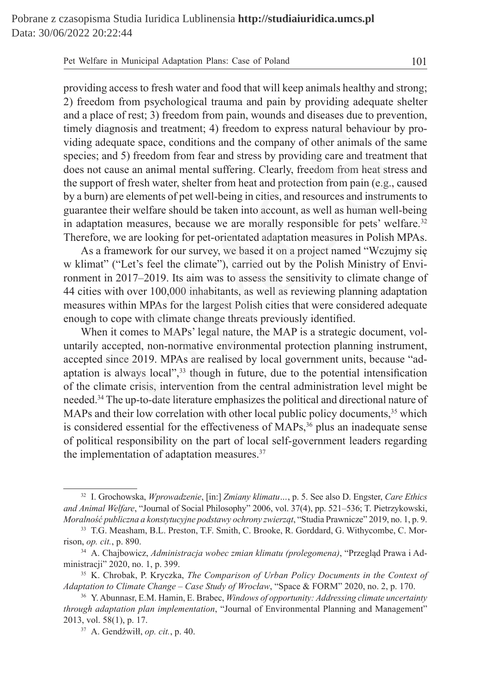| Pet Welfare in Municipal Adaptation Plans: Case of Poland |  |
|-----------------------------------------------------------|--|
|-----------------------------------------------------------|--|

providing access to fresh water and food that will keep animals healthy and strong; 2) freedom from psychological trauma and pain by providing adequate shelter and a place of rest; 3) freedom from pain, wounds and diseases due to prevention, timely diagnosis and treatment; 4) freedom to express natural behaviour by providing adequate space, conditions and the company of other animals of the same species; and 5) freedom from fear and stress by providing care and treatment that does not cause an animal mental suffering. Clearly, freedom from heat stress and the support of fresh water, shelter from heat and protection from pain (e.g., caused by a burn) are elements of pet well-being in cities, and resources and instruments to guarantee their welfare should be taken into account, as well as human well-being in adaptation measures, because we are morally responsible for pets' welfare.<sup>32</sup> Therefore, we are looking for pet-orientated adaptation measures in Polish MPAs. iagnosis and treatment; 4) freedom to express natural behaviour b<br>dequate space, conditions and the company of other animals of the<br>and 5) freedom from fear and stress by providing care and treatme<br>cause an animal mental s

As a framework for our survey, we based it on a project named "Wczujmy się w klimat" ("Let's feel the climate"), carried out by the Polish Ministry of Environment in 2017–2019. Its aim was to assess the sensitivity to climate change of 44 cities with over 100,000 inhabitants, as well as reviewing planning adaptation measures within MPAs for the largest Polish cities that were considered adequate enough to cope with climate change threats previously identified.

When it comes to MAPs' legal nature, the MAP is a strategic document, voluntarily accepted, non-normative environmental protection planning instrument, accepted since 2019. MPAs are realised by local government units, because "adaptation is always local",<sup>33</sup> though in future, due to the potential intensification of the climate crisis, intervention from the central administration level might be needed.<sup>34</sup> The up-to-date literature emphasizes the political and directional nature of MAPs and their low correlation with other local public policy documents,<sup>35</sup> which is considered essential for the effectiveness of MAPs,<sup>36</sup> plus an inadequate sense of political responsibility on the part of local self-government leaders regarding the implementation of adaptation measures.<sup>37</sup>

<sup>32</sup> I. Grochowska, *Wprowadzenie*, [in:] *Zmiany klimatu…*, p. 5. See also D. Engster, *Care Ethics and Animal Welfare*, "Journal of Social Philosophy" 2006, vol. 37(4), pp. 521–536; T. Pietrzykowski, *Moralność publiczna a konstytucyjne podstawy ochrony zwierząt*, "Studia Prawnicze" 2019, no. 1, p. 9.

<sup>33</sup> T.G. Measham, B.L. Preston, T.F. Smith, C. Brooke, R. Gorddard, G. Withycombe, C. Morrison, *op. cit.*, p. 890.

<sup>34</sup> A. Chajbowicz, *Administracja wobec zmian klimatu (prolegomena)*, "Przegląd Prawa i Administracji" 2020, no. 1, p. 399.

<sup>35</sup> K. Chrobak, P. Kryczka, *The Comparison of Urban Policy Documents in the Context of Adaptation to Climate Change – Case Study of Wrocław*, "Space & FORM" 2020, no. 2, p. 170.

<sup>36</sup> Y. Abunnasr, E.M. Hamin, E. Brabec, *Windows of opportunity: Addressing climate uncertainty through adaptation plan implementation*, "Journal of Environmental Planning and Management" 2013, vol. 58(1), p. 17.

<sup>37</sup> A. Gendźwiłł, *op. cit.*, p. 40.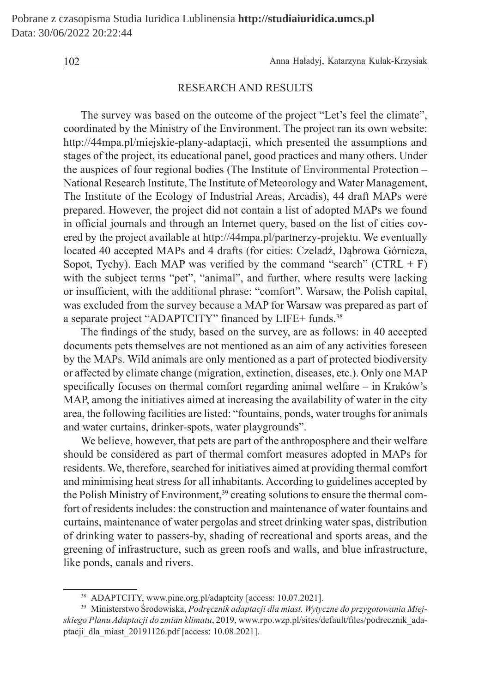## RESEARCH AND RESULTS

The survey was based on the outcome of the project "Let's feel the climate", coordinated by the Ministry of the Environment. The project ran its own website: http://44mpa.pl/miejskie-plany-adaptacji, which presented the assumptions and stages of the project, its educational panel, good practices and many others. Under the auspices of four regional bodies (The Institute of Environmental Protection – National Research Institute, The Institute of Meteorology and Water Management, The Institute of the Ecology of Industrial Areas, Arcadis), 44 draft MAPs were prepared. However, the project did not contain a list of adopted MAPs we found in official journals and through an Internet query, based on the list of cities covered by the project available at http://44mpa.pl/partnerzy-projektu. We eventually located 40 accepted MAPs and 4 drafts (for cities: Czeladź, Dąbrowa Górnicza, Sopot, Tychy). Each MAP was verified by the command "search" ( $CTRL + F$ ) with the subject terms "pet", "animal", and further, where results were lacking or insufficient, with the additional phrase: "comfort". Warsaw, the Polish capital, was excluded from the survey because a MAP for Warsaw was prepared as part of a separate project "ADAPTCITY" financed by LIFE+ funds.<sup>38</sup> ted by the Ministry of the Environment. The project ran its own w<br>mpa.pl/miejskie-plany-adaptacji, which presented the assumptio<br>fthe project, its educational panel, good practices and many others.<br>Cices of four regional b

The findings of the study, based on the survey, are as follows: in 40 accepted documents pets themselves are not mentioned as an aim of any activities foreseen by the MAPs. Wild animals are only mentioned as a part of protected biodiversity or affected by climate change (migration, extinction, diseases, etc.). Only one MAP specifically focuses on thermal comfort regarding animal welfare – in Kraków's MAP, among the initiatives aimed at increasing the availability of water in the city area, the following facilities are listed: "fountains, ponds, water troughs for animals and water curtains, drinker-spots, water playgrounds".

We believe, however, that pets are part of the anthroposphere and their welfare should be considered as part of thermal comfort measures adopted in MAPs for residents. We, therefore, searched for initiatives aimed at providing thermal comfort and minimising heat stress for all inhabitants. According to guidelines accepted by the Polish Ministry of Environment,<sup>39</sup> creating solutions to ensure the thermal comfort of residents includes: the construction and maintenance of water fountains and curtains, maintenance of water pergolas and street drinking water spas, distribution of drinking water to passers-by, shading of recreational and sports areas, and the greening of infrastructure, such as green roofs and walls, and blue infrastructure, like ponds, canals and rivers.

<sup>38</sup> ADAPTCITY, www.pine.org.pl/adaptcity [access: 10.07.2021].

<sup>39</sup> Ministerstwo Środowiska, *Podręcznik adaptacji dla miast. Wytyczne do przygotowania Miejskiego Planu Adaptacji do zmian klimatu*, 2019, www.rpo.wzp.pl/sites/default/files/podrecznik\_adaptacji\_dla\_miast\_20191126.pdf [access: 10.08.2021].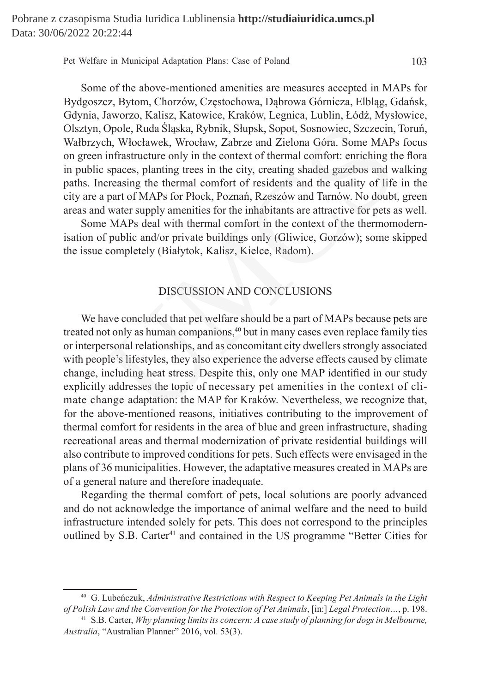Pet Welfare in Municipal Adaptation Plans: Case of Poland 103

Some of the above-mentioned amenities are measures accepted in MAPs for Bydgoszcz, Bytom, Chorzów, Częstochowa, Dąbrowa Górnicza, Elbląg, Gdańsk, Gdynia, Jaworzo, Kalisz, Katowice, Kraków, Legnica, Lublin, Łódź, Mysłowice, Olsztyn, Opole, Ruda Śląska, Rybnik, Słupsk, Sopot, Sosnowiec, Szczecin, Toruń, Wałbrzych, Włocławek, Wrocław, Zabrze and Zielona Góra. Some MAPs focus on green infrastructure only in the context of thermal comfort: enriching the flora in public spaces, planting trees in the city, creating shaded gazebos and walking paths. Increasing the thermal comfort of residents and the quality of life in the city are a part of MAPs for Płock, Poznań, Rzeszów and Tarnów. No doubt, green areas and water supply amenities for the inhabitants are attractive for pets as well.

Some MAPs deal with thermal comfort in the context of the thermomodernisation of public and/or private buildings only (Gliwice, Gorzów); some skipped the issue completely (Białytok, Kalisz, Kielce, Radom).

### DISCUSSION AND CONCLUSIONS

We have concluded that pet welfare should be a part of MAPs because pets are treated not only as human companions,<sup>40</sup> but in many cases even replace family ties or interpersonal relationships, and as concomitant city dwellers strongly associated with people's lifestyles, they also experience the adverse effects caused by climate change, including heat stress. Despite this, only one MAP identified in our study explicitly addresses the topic of necessary pet amenities in the context of climate change adaptation: the MAP for Kraków. Nevertheless, we recognize that, for the above-mentioned reasons, initiatives contributing to the improvement of thermal comfort for residents in the area of blue and green infrastructure, shading recreational areas and thermal modernization of private residential buildings will also contribute to improved conditions for pets. Such effects were envisaged in the plans of 36 municipalities. However, the adaptative measures created in MAPs are of a general nature and therefore inadequate. Opole, Ruda Sląska, Rybnik, Slupsk, Sopot, Sosnowiec, Szczecin,<br>ch, Włocławek, Wrocław, Zabrze and Zielona Góra. Some MAPs<br>infrastructure only in the context of thermal comfort: enriching th<br>spaces, planting trees in the c

Regarding the thermal comfort of pets, local solutions are poorly advanced and do not acknowledge the importance of animal welfare and the need to build infrastructure intended solely for pets. This does not correspond to the principles outlined by S.B. Carter<sup>41</sup> and contained in the US programme "Better Cities for

<sup>40</sup> G. Lubeńczuk, *Administrative Restrictions with Respect to Keeping Pet Animals in the Light of Polish Law and the Convention for the Protection of Pet Animals*, [in:] *Legal Protection…*, p. 198.

<sup>41</sup> S.B. Carter, *Why planning limits its concern: A case study of planning for dogs in Melbourne, Australia*, "Australian Planner" 2016, vol. 53(3).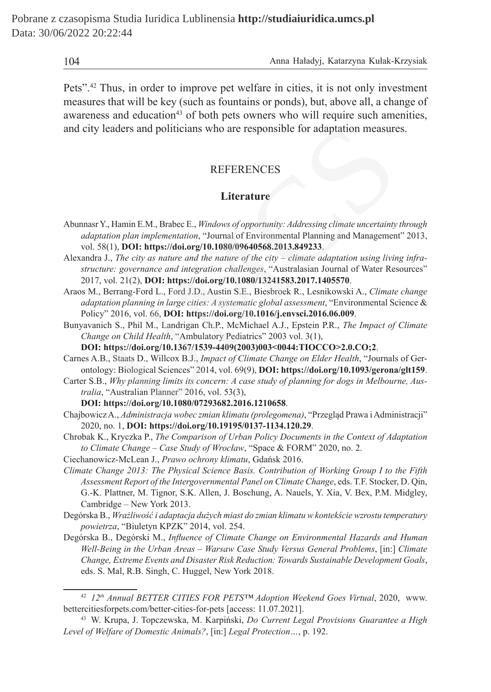Pets".42 Thus, in order to improve pet welfare in cities, it is not only investment measures that will be key (such as fountains or ponds), but, above all, a change of awareness and education<sup> $43$ </sup> of both pets owners who will require such amenities, and city leaders and politicians who are responsible for adaptation measures.

### REFERENCES

### **Literature**

- Abunnasr Y., Hamin E.M., Brabec E., *Windows of opportunity: Addressing climate uncertainty through adaptation plan implementation*, "Journal of Environmental Planning and Management" 2013, vol. 58(1), **DOI: https://doi.org/10.1080/09640568.2013.849233**. leaders and politicians who are responsible for adaptation measure<br>
REFERENCES<br>
Literature<br>
X, Hamin E.M., Brabec E., *Windows of opportunity: Addressing climate uncertainty*<br>
ation plan implementation, "Journal of Environ
- Alexandra J., *The city as nature and the nature of the city climate adaptation using living infrastructure: governance and integration challenges*, "Australasian Journal of Water Resources" 2017, vol. 21(2), **DOI: https://doi.org/10.1080/13241583.2017.1405570**.
- Araos M., Berrang-Ford L., Ford J.D., Austin S.E., Biesbroek R., Lesnikowski A., *Climate change adaptation planning in large cities: A systematic global assessment*, "Environmental Science & Policy" 2016, vol. 66, **DOI: https://doi.org/10.1016/j.envsci.2016.06.009**.
- Bunyavanich S., Phil M., Landrigan Ch.P., McMichael A.J., Epstein P.R., *The Impact of Climate Change on Child Health*, "Ambulatory Pediatrics" 2003 vol. 3(1),

**DOI: https://doi.org/10.1367/1539-4409(2003)003<0044:TIOCCO>2.0.CO;2**.

- Carnes A.B., Staats D., Willcox B.J., *Impact of Climate Change on Elder Health*, "Journals of Gerontology: Biological Sciences" 2014, vol. 69(9), **DOI: https://doi.org/10.1093/gerona/glt159**.
- Carter S.B., *Why planning limits its concern: A case study of planning for dogs in Melbourne, Australia*, "Australian Planner" 2016, vol. 53(3),

**DOI: https://doi.org/10.1080/07293682.2016.1210658**.

- Chajbowicz A., *Administracja wobec zmian klimatu (prolegomena)*, "Przegląd Prawa iAdministracji" 2020, no. 1, **DOI: https://doi.org/10.19195/0137-1134.120.29**.
- Chrobak K., Kryczka P., *The Comparison of Urban Policy Documents in the Context of Adaptation to Climate Change – Case Study of Wrocław*, "Space & FORM" 2020, no. 2.

Ciechanowicz-McLean J., *Prawo ochrony klimatu*, Gdańsk 2016.

- *Climate Change 2013: The Physical Science Basis. Contribution of Working Group I to the Fifth Assessment Report of the Intergovernmental Panel on Climate Change*, eds. T.F. Stocker, D. Qin, G.-K. Plattner, M. Tignor, S.K. Allen, J. Boschung, A. Nauels, Y. Xia, V. Bex, P.M. Midgley, Cambridge – New York 2013.
- Degórska B., *Wrażliwość i adaptacja dużych miast do zmian klimatu w kontekście wzrostu temperatury powietrza*, "Biuletyn KPZK" 2014, vol. 254.
- Degórska B., Degórski M., *Influence of Climate Change on Environmental Hazards and Human Well-Being in the Urban Areas – Warsaw Case Study Versus General Problems*, [in:] *Climate Change, Extreme Events and Disaster Risk Reduction: Towards Sustainable Development Goals*, eds. S. Mal, R.B. Singh, C. Huggel, New York 2018.

<sup>42</sup> *12th Annual BETTER CITIES FOR PETS™ Adoption Weekend Goes Virtual*, 2020, www. bettercitiesforpets.com/better-cities-for-pets [access: 11.07.2021].

<sup>43</sup> W. Krupa, J. Topczewska, M. Karpiński, *Do Current Legal Provisions Guarantee a High Level of Welfare of Domestic Animals?*, [in:] *Legal Protection…*, p. 192.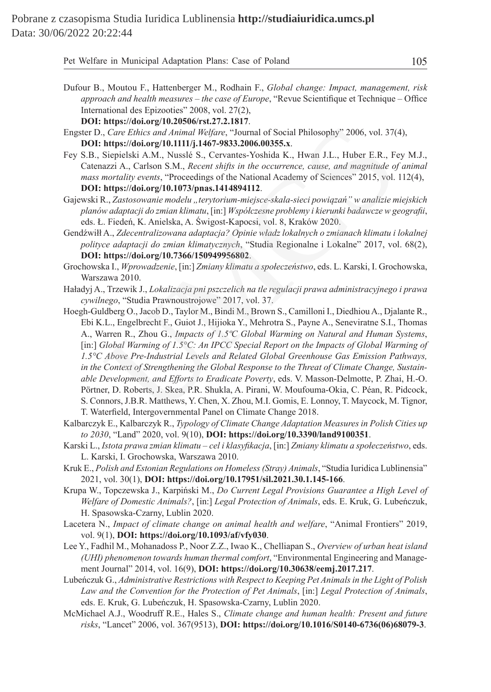| Pet Welfare in Municipal Adaptation Plans: Case of Poland | 105 |
|-----------------------------------------------------------|-----|
|-----------------------------------------------------------|-----|

- Dufour B., Moutou F., Hattenberger M., Rodhain F., *Global change: Impact, management, risk approach and health measures – the case of Europe*, "Revue Scientifique et Technique – Office International des Epizooties" 2008, vol. 27(2),
	- **DOI: https://doi.org/10.20506/rst.27.2.1817**.
- Engster D., *Care Ethics and Animal Welfare*, "Journal of Social Philosophy" 2006, vol. 37(4), **DOI: https://doi.org/10.1111/j.1467-9833.2006.00355.x**.
- Fey S.B., Siepielski A.M., Nusslé S., Cervantes-Yoshida K., Hwan J.L., Huber E.R., Fey M.J., Catenazzi A., Carlson S.M., *Recent shifts in the occurrence, cause, and magnitude of animal mass mortality events*, "Proceedings of the National Academy of Sciences" 2015, vol. 112(4), **DOI: https://doi.org/10.1073/pnas.1414894112**.
- Gajewski R., *Zastosowanie modelu "terytorium-miejsce-skala-sieci powiązań" w analizie miejskich planów adaptacji do zmian klimatu*, [in:] *Współczesne problemy i kierunki badawcze w geografii*, eds. Ł. Fiedeń, K. Anielska, A. Świgost-Kapocsi, vol. 8, Kraków 2020.
- Gendźwiłł A., *Zdecentralizowana adaptacja? Opinie władz lokalnych o zmianach klimatu i lokalnej polityce adaptacji do zmian klimatycznych*, "Studia Regionalne i Lokalne" 2017, vol. 68(2), **DOI: https://doi.org/10.7366/150949956802**.

Grochowska I., *Wprowadzenie*, [in:] *Zmiany klimatu a społeczeństwo*, eds. L. Karski, I. Grochowska, Warszawa 2010.

- Haładyj A., Trzewik J., *Lokalizacja pni pszczelich na tle regulacji prawa administracyjnego i prawa cywilnego*, "Studia Prawnoustrojowe" 2017, vol. 37.
- Hoegh-Guldberg O., Jacob D., Taylor M., Bindi M., Brown S., Camilloni I., Diedhiou A., Djalante R., Ebi K.L., Engelbrecht F., Guiot J., Hijioka Y., Mehrotra S., Payne A., Seneviratne S.I., Thomas A., Warren R., Zhou G., *Impacts of 1.5ºC Global Warming on Natural and Human Systems*, [in:] *Global Warming of 1.5°C: An IPCC Special Report on the Impacts of Global Warming of 1.5°C Above Pre-Industrial Levels and Related Global Greenhouse Gas Emission Pathways, in the Context of Strengthening the Global Response to the Threat of Climate Change, Sustainable Development, and Efforts to Eradicate Poverty*, eds. V. Masson-Delmotte, P. Zhai, H.-O. Pörtner, D. Roberts, J. Skea, P.R. Shukla, A. Pirani, W. Moufouma-Okia, C. Péan, R. Pidcock, S. Connors, J.B.R. Matthews, Y. Chen, X. Zhou, M.I. Gomis, E. Lonnoy, T. Maycock, M. Tignor, T. Waterfield, Intergovernmental Panel on Climate Change 2018. representation of *Care Ethics and Animal Welfare,* "Journal of Social Philosophy" 2006, vol. 37(<br>
Attps://doi.org/10.1111/j.1467-9833.2006.00355.x.<br>
Siepielski A.M., Nussel S., Cervantes-Voshida K., Hwan J.L., Huber E.R.,
- Kalbarczyk E., Kalbarczyk R., *Typology of Climate Change Adaptation Measures in Polish Cities up to 2030*, "Land" 2020, vol. 9(10), **DOI: https://doi.org/10.3390/land9100351**.
- Karski L., *Istota prawa zmian klimatu cel i klasyfikacja*, [in:] *Zmiany klimatu a społeczeństwo*, eds. L. Karski, I. Grochowska, Warszawa 2010.
- Kruk E., *Polish and Estonian Regulations on Homeless (Stray) Animals*, "Studia Iuridica Lublinensia" 2021, vol. 30(1), **DOI: https://doi.org/10.17951/sil.2021.30.1.145-166**.
- Krupa W., Topczewska J., Karpiński M., *Do Current Legal Provisions Guarantee a High Level of Welfare of Domestic Animals?*, [in:] *Legal Protection of Animals*, eds. E. Kruk, G. Lubeńczuk, H. Spasowska-Czarny, Lublin 2020.
- Lacetera N., *Impact of climate change on animal health and welfare*, "Animal Frontiers" 2019, vol. 9(1), **DOI: https://doi.org/10.1093/af/vfy030**.
- Lee Y., Fadhil M., Mohanadoss P., Noor Z.Z., Iwao K., Chelliapan S., *Overview of urban heat island (UHI) phenomenon towards human thermal comfort*, "Environmental Engineering and Management Journal" 2014, vol. 16(9), **DOI: https://doi.org/10.30638/eemj.2017.217**.
- Lubeńczuk G., *Administrative Restrictions with Respect to Keeping Pet Animals in the Light of Polish Law and the Convention for the Protection of Pet Animals*, [in:] *Legal Protection of Animals*, eds. E. Kruk, G. Lubeńczuk, H. Spasowska-Czarny, Lublin 2020.
- McMichael A.J., Woodruff R.E., Hales S., *Climate change and human health: Present and future risks*, "Lancet" 2006, vol. 367(9513), **DOI: https://doi.org/10.1016/S0140-6736(06)68079-3**.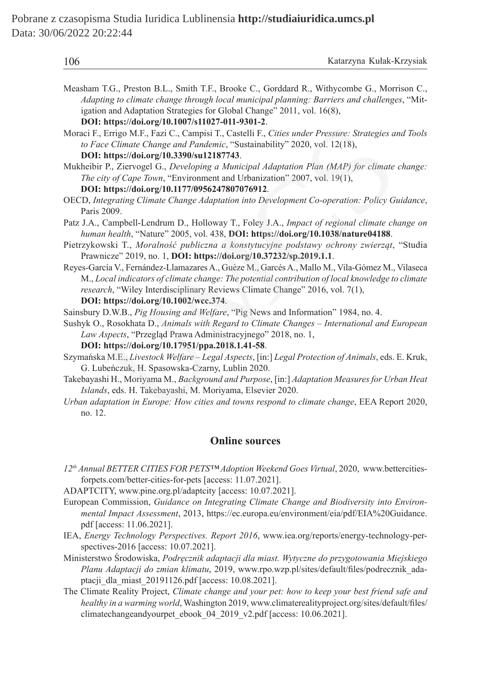| 106 | Katarzyna Kułak-Krzysiak |
|-----|--------------------------|
|     |                          |

- Measham T.G., Preston B.L., Smith T.F., Brooke C., Gorddard R., Withycombe G., Morrison C., *Adapting to climate change through local municipal planning: Barriers and challenges*, "Mitigation and Adaptation Strategies for Global Change" 2011, vol. 16(8),
	- **DOI: https://doi.org/10.1007/s11027-011-9301-2**.
- Moraci F., Errigo M.F., Fazi C., Campisi T., Castelli F., *Cities under Pressure: Strategies and Tools to Face Climate Change and Pandemic*, "Sustainability" 2020, vol. 12(18),

**DOI: https://doi.org/10.3390/su12187743**.

- Mukheibir P., Ziervogel G., *Developing a Municipal Adaptation Plan (MAP) for climate change: The city of Cape Town*, "Environment and Urbanization" 2007, vol. 19(1), **DOI: https://doi.org/10.1177/0956247807076912**.
- OECD, *Integrating Climate Change Adaptation into Development Co-operation: Policy Guidance*, Paris 2009.
- Patz J.A., Campbell-Lendrum D., Holloway T., Foley J.A., *Impact of regional climate change on human health*, "Nature" 2005, vol. 438, **DOI: https://doi.org/10.1038/nature04188**.
- Pietrzykowski T., *Moralność publiczna a konstytucyjne podstawy ochrony zwierząt*, "Studia Prawnicze" 2019, no. 1, **DOI: https://doi.org/10.37232/sp.2019.1.1**.
- Reyes-García V., Fernández-Llamazares A., Guèze M., Garcés A., Mallo M., Vila-Gómez M., Vilaseca M., *Local indicators of climate change: The potential contribution of local knowledge to climate research*, "Wiley Interdisciplinary Reviews Climate Change" 2016, vol. 7(1), ntyps.woordigent.org/interaction.com/interaction.com/interaction-<br>Errigo M.F., Fazi C., Campisi T., Catelli F., Cities under Pressure: Strategies an<br>e Climate Change and Pandemic, "Sustainability" 2020, vol. 12(18),<br>https:
	- **DOI: https://doi.org/10.1002/wcc.374**.
- Sainsbury D.W.B., *Pig Housing and Welfare*, "Pig News and Information" 1984, no. 4.
- Sushyk O., Rosokhata D., *Animals with Regard to Climate Changes International and European Law Aspects*, "Przegląd Prawa Administracyjnego" 2018, no. 1,

**DOI: https://doi.org/10.17951/ppa.2018.1.41-58**.

- Szymańska M.E., *Livestock Welfare Legal Aspects*, [in:] *Legal Protection of Animals*, eds. E. Kruk, G. Lubeńczuk, H. Spasowska-Czarny, Lublin 2020.
- Takebayashi H., Moriyama M., *Background and Purpose*, [in:] *Adaptation Measures for Urban Heat Islands*, eds. H. Takebayashi, M. Moriyama, Elsevier 2020.
- *Urban adaptation in Europe: How cities and towns respond to climate change*, EEA Report 2020, no. 12.

### **Online sources**

- *12th Annual BETTER CITIES FOR PETS™ Adoption Weekend Goes Virtual*, 2020, www.bettercitiesforpets.com/better-cities-for-pets [access: 11.07.2021].
- ADAPTCITY, www.pine.org.pl/adaptcity [access: 10.07.2021].
- European Commission, *Guidance on Integrating Climate Change and Biodiversity into Environmental Impact Assessment*, 2013, https://ec.europa.eu/environment/eia/pdf/EIA%20Guidance. pdf [access: 11.06.2021].
- IEA, *Energy Technology Perspectives. Report 2016*, www.iea.org/reports/energy-technology-perspectives-2016 [access: 10.07.2021].
- Ministerstwo Środowiska, *Podręcznik adaptacji dla miast. Wytyczne do przygotowania Miejskiego Planu Adaptacji do zmian klimatu*, 2019, www.rpo.wzp.pl/sites/default/files/podrecznik\_adaptacji\_dla\_miast\_20191126.pdf [access: 10.08.2021].
- The Climate Reality Project, *Climate change and your pet: how to keep your best friend safe and healthy in a warming world*, Washington 2019, www.climaterealityproject.org/sites/default/files/ climatechangeandyourpet\_ebook\_04\_2019\_v2.pdf [access: 10.06.2021].